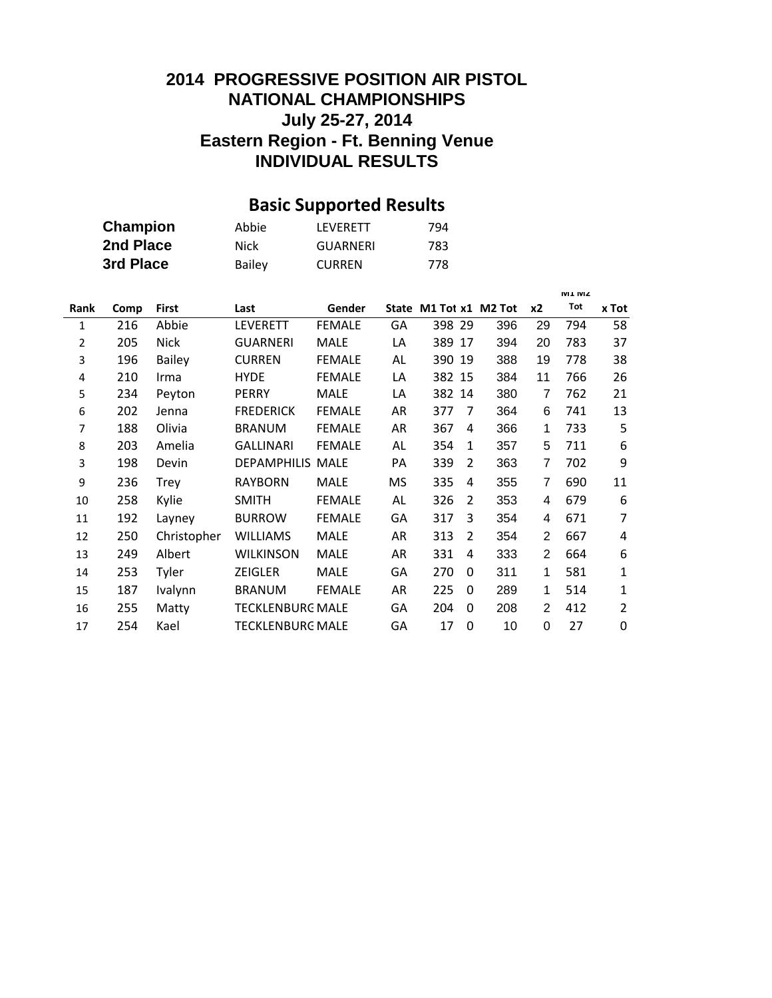### **INDIVIDUAL RESULTS 2014 PROGRESSIVE POSITION AIR PISTOL NATIONAL CHAMPIONSHIPS July 25-27, 2014 Eastern Region - Ft. Benning Venue**

# **Basic Supported Results**

| Champion  | Abbie         | LFVFRFTT      | 794 |
|-----------|---------------|---------------|-----|
| 2nd Place | Nick          | GUARNERI      | 783 |
| 3rd Place | <b>Bailey</b> | <b>CURREN</b> | 778 |

|      |      |               |                         |               |           |                        |          |     |                | <b>M1 MZ</b> |                |
|------|------|---------------|-------------------------|---------------|-----------|------------------------|----------|-----|----------------|--------------|----------------|
| Rank | Comp | <b>First</b>  | Last                    | Gender        |           | State M1 Tot x1 M2 Tot |          |     | x2             | Tot          | x Tot          |
| 1    | 216  | Abbie         | <b>LEVERETT</b>         | <b>FEMALE</b> | GA        | 398 29                 |          | 396 | 29             | 794          | 58             |
| 2    | 205  | Nick          | <b>GUARNERI</b>         | <b>MALE</b>   | LA        | 389                    | 17       | 394 | 20             | 783          | 37             |
| 3    | 196  | <b>Bailey</b> | <b>CURREN</b>           | <b>FEMALE</b> | AL        | 390 19                 |          | 388 | 19             | 778          | 38             |
| 4    | 210  | Irma          | <b>HYDE</b>             | <b>FEMALE</b> | LA        | 382                    | 15       | 384 | 11             | 766          | 26             |
| 5    | 234  | Peyton        | <b>PERRY</b>            | <b>MALE</b>   | LA        | 382                    | 14       | 380 | 7              | 762          | 21             |
| 6    | 202  | Jenna         | <b>FREDERICK</b>        | <b>FEMALE</b> | AR        | 377                    | 7        | 364 | 6              | 741          | 13             |
| 7    | 188  | Olivia        | <b>BRANUM</b>           | <b>FEMALE</b> | AR        | 367                    | 4        | 366 | 1              | 733          | 5              |
| 8    | 203  | Amelia        | <b>GALLINARI</b>        | <b>FEMALE</b> | AL        | 354                    | 1        | 357 | 5              | 711          | 6              |
| 3    | 198  | Devin         | <b>DEPAMPHILIS MALE</b> |               | PA        | 339                    | 2        | 363 | 7              | 702          | 9              |
| 9    | 236  | <b>Trey</b>   | <b>RAYBORN</b>          | <b>MALE</b>   | <b>MS</b> | 335                    | 4        | 355 | 7              | 690          | 11             |
| 10   | 258  | Kylie         | <b>SMITH</b>            | <b>FEMALE</b> | AL        | 326                    | 2        | 353 | 4              | 679          | 6              |
| 11   | 192  | Layney        | <b>BURROW</b>           | <b>FEMALE</b> | GА        | 317                    | 3        | 354 | 4              | 671          | 7              |
| 12   | 250  | Christopher   | <b>WILLIAMS</b>         | <b>MALE</b>   | AR        | 313                    | 2        | 354 | 2              | 667          | 4              |
| 13   | 249  | Albert        | <b>WILKINSON</b>        | <b>MALE</b>   | AR        | 331                    | 4        | 333 | $\overline{2}$ | 664          | 6              |
| 14   | 253  | Tyler         | ZEIGLER                 | <b>MALE</b>   | GA        | 270                    | 0        | 311 | 1              | 581          | 1              |
| 15   | 187  | Ivalynn       | <b>BRANUM</b>           | <b>FEMALE</b> | AR        | 225                    | 0        | 289 | 1              | 514          | 1              |
| 16   | 255  | Matty         | <b>TECKLENBURG MALE</b> |               | GA        | 204                    | $\Omega$ | 208 | 2              | 412          | $\overline{2}$ |
| 17   | 254  | Kael          | TECKLENBURG MALE        |               | GA        | 17                     | $\Omega$ | 10  | 0              | 27           | 0              |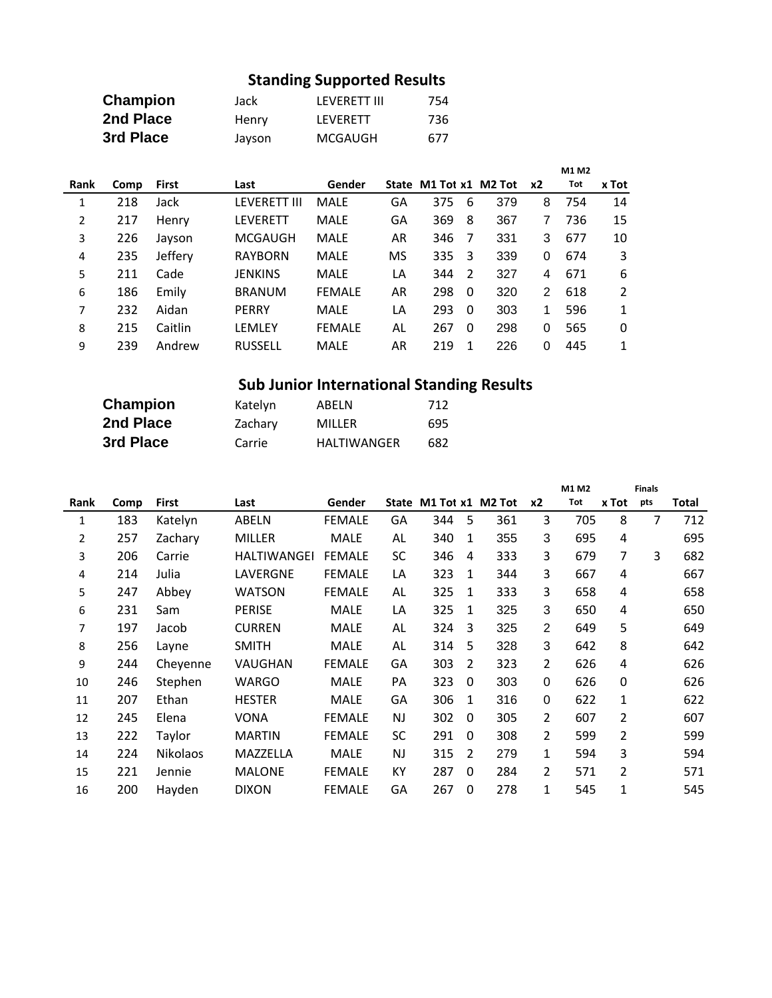## **Standing Supported Results**

| Champion  | Jack   | LFVFRFTT III | 754 |
|-----------|--------|--------------|-----|
| 2nd Place | Henry  | LFVFRFTT     | 736 |
| 3rd Place | Jayson | MCGAUGH      | 677 |

|      |      |         |                     |               |    |                        |          |     |    | M1 M2 |                |
|------|------|---------|---------------------|---------------|----|------------------------|----------|-----|----|-------|----------------|
| Rank | Comp | First   | Last                | Gender        |    | State M1 Tot x1 M2 Tot |          |     | x2 | Tot   | x Tot          |
| 1    | 218  | Jack    | <b>LEVERETT III</b> | <b>MALE</b>   | GA | 375                    | 6        | 379 | 8  | 754   | 14             |
| 2    | 217  | Henry   | <b>LEVERETT</b>     | MALE          | GА | 369                    | 8        | 367 | 7  | 736   | 15             |
| 3    | 226  | Jayson  | <b>MCGAUGH</b>      | MALE          | AR | 346                    | 7        | 331 | 3  | 677   | 10             |
| 4    | 235  | Jeffery | <b>RAYBORN</b>      | <b>MALE</b>   | MS | 335                    | 3        | 339 | 0  | 674   | 3              |
| 5    | 211  | Cade    | JENKINS             | MALE          | LA | 344                    | 2        | 327 | 4  | 671   | 6              |
| 6    | 186  | Emily   | <b>BRANUM</b>       | <b>FEMALE</b> | AR | 298                    | $\Omega$ | 320 | 2  | 618   | $\overline{2}$ |
| 7    | 232  | Aidan   | <b>PERRY</b>        | MALE          | LA | 293                    | $\Omega$ | 303 |    | 596   | $\mathbf{1}$   |
| 8    | 215  | Caitlin | LEMLEY              | <b>FEMALE</b> | AL | 267                    | $\Omega$ | 298 | 0  | 565   | $\Omega$       |
| 9    | 239  | Andrew  | <b>RUSSELL</b>      | MALE          | AR | 219                    | 1        | 226 | 0  | 445   | 1              |

## **Sub Junior International Standing Results**

| Champion  | Katelyn | ABELN              | 712 |
|-----------|---------|--------------------|-----|
| 2nd Place | Zachary | MILLER             | 695 |
| 3rd Place | Carrie  | <b>HALTIWANGER</b> | 682 |

|      |      |                 |               |               |           |                        |          |     |                | M1 M2 |                | <b>Finals</b> |       |
|------|------|-----------------|---------------|---------------|-----------|------------------------|----------|-----|----------------|-------|----------------|---------------|-------|
| Rank | Comp | <b>First</b>    | Last          | Gender        |           | State M1 Tot x1 M2 Tot |          |     | x2             | Tot   | x Tot          | pts           | Total |
| 1    | 183  | Katelyn         | ABELN         | <b>FEMALE</b> | GA        | 344                    | 5        | 361 | 3              | 705   | 8              | 7             | 712   |
| 2    | 257  | Zachary         | <b>MILLER</b> | MALE          | AL        | 340                    | 1        | 355 | 3              | 695   | 4              |               | 695   |
| 3    | 206  | Carrie          | HALTIWANGEI   | <b>FEMALE</b> | <b>SC</b> | 346                    | 4        | 333 | 3              | 679   | 7              | 3             | 682   |
| 4    | 214  | Julia           | LAVERGNE      | <b>FEMALE</b> | LA        | 323                    | 1        | 344 | 3              | 667   | 4              |               | 667   |
| 5    | 247  | Abbey           | <b>WATSON</b> | <b>FEMALE</b> | AL        | 325                    | 1        | 333 | 3              | 658   | 4              |               | 658   |
| 6    | 231  | Sam             | <b>PERISE</b> | MALE          | LA        | 325                    | 1        | 325 | 3              | 650   | 4              |               | 650   |
| 7    | 197  | Jacob           | <b>CURREN</b> | MALE          | AL        | 324                    | 3        | 325 | $\overline{2}$ | 649   | 5              |               | 649   |
| 8    | 256  | Layne           | <b>SMITH</b>  | MALE          | AL        | 314                    | 5        | 328 | 3              | 642   | 8              |               | 642   |
| 9    | 244  | Cheyenne        | VAUGHAN       | <b>FEMALE</b> | GA        | 303                    | 2        | 323 | 2              | 626   | 4              |               | 626   |
| 10   | 246  | Stephen         | <b>WARGO</b>  | MALE          | PA        | 323                    | $\Omega$ | 303 | 0              | 626   | $\Omega$       |               | 626   |
| 11   | 207  | Ethan           | <b>HESTER</b> | MALE          | GA        | 306                    | 1        | 316 | 0              | 622   | 1              |               | 622   |
| 12   | 245  | Elena           | <b>VONA</b>   | <b>FEMALE</b> | <b>NJ</b> | 302                    | $\Omega$ | 305 | 2              | 607   | $\overline{2}$ |               | 607   |
| 13   | 222  | Taylor          | <b>MARTIN</b> | <b>FEMALE</b> | SC        | 291                    | $\Omega$ | 308 | 2              | 599   | $\overline{2}$ |               | 599   |
| 14   | 224  | <b>Nikolaos</b> | MAZZELLA      | MALE          | NJ        | 315                    | 2        | 279 | 1              | 594   | 3              |               | 594   |
| 15   | 221  | Jennie          | <b>MALONE</b> | <b>FEMALE</b> | KY        | 287                    | $\Omega$ | 284 | 2              | 571   | $\overline{2}$ |               | 571   |
| 16   | 200  | Hayden          | <b>DIXON</b>  | <b>FEMALE</b> | GA        | 267                    | $\Omega$ | 278 | 1              | 545   | $\mathbf{1}$   |               | 545   |